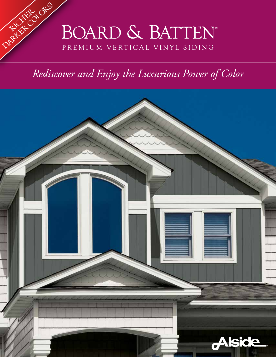

## *Rediscover and Enjoy the Luxurious Power of Color*